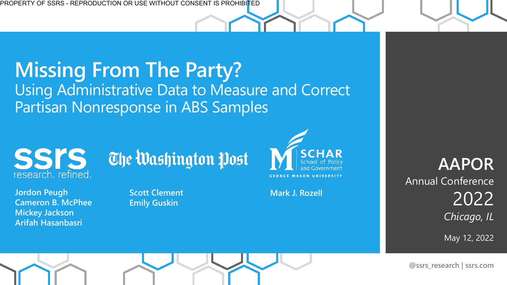#### **Missing From The Party?**  Using Administrative Data to Measure and Correct Partisan Nonresponse in ABS Samples



**Jordon Peugh Cameron B. McPhee Mickey Jackson Arifah Hasanbasri**

The Washington Post

**Scott Clement Emily Guskin**



**Mark J. Rozell**

**AAPOR**  Annual Conference 2022 *Chicago, IL*

May 12, 2022

**@ssrs\_research | ssrs.com**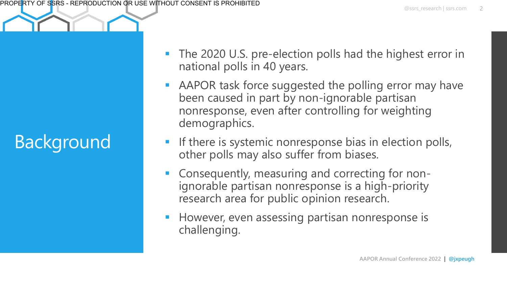### Background

- The 2020 U.S. pre-election polls had the highest error in national polls in 40 years.
- AAPOR task force suggested the polling error may have been caused in part by non-ignorable partisan nonresponse, even after controlling for weighting demographics.
- If there is systemic nonresponse bias in election polls, other polls may also suffer from biases.
- Consequently, measuring and correcting for nonignorable partisan nonresponse is a high-priority research area for public opinion research.
- However, even assessing partisan nonresponse is challenging.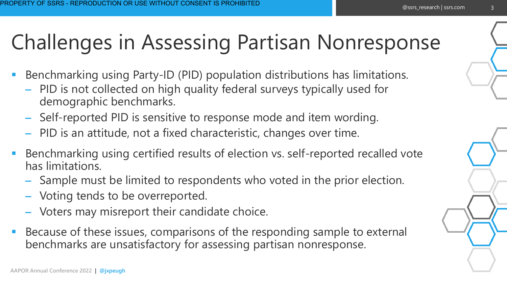#### @ssrs\_research | ssrs.com

3

# Challenges in Assessing Partisan Nonresponse

- Benchmarking using Party-ID (PID) population distributions has limitations.
	- PID is not collected on high quality federal surveys typically used for demographic benchmarks.
	- Self-reported PID is sensitive to response mode and item wording.
	- PID is an attitude, not a fixed characteristic, changes over time.
- Benchmarking using certified results of election vs. self-reported recalled vote has limitations.
	- Sample must be limited to respondents who voted in the prior election.
	- Voting tends to be overreported.
	- Voters may misreport their candidate choice.
- Because of these issues, comparisons of the responding sample to external benchmarks are unsatisfactory for assessing partisan nonresponse.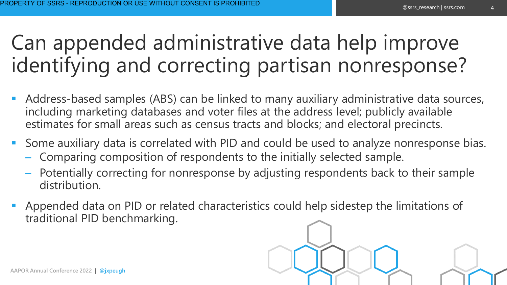## Can appended administrative data help improve identifying and correcting partisan nonresponse?

- Address-based samples (ABS) can be linked to many auxiliary administrative data sources, including marketing databases and voter files at the address level; publicly available estimates for small areas such as census tracts and blocks; and electoral precincts.
- Some auxiliary data is correlated with PID and could be used to analyze nonresponse bias.
	- Comparing composition of respondents to the initially selected sample.
	- Potentially correcting for nonresponse by adjusting respondents back to their sample distribution.
- Appended data on PID or related characteristics could help sidestep the limitations of traditional PID benchmarking.

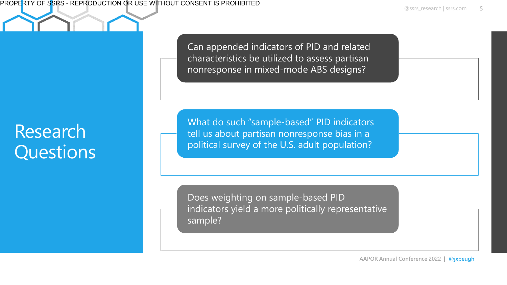@ssrs\_research | ssrs.com 5

Can appended indicators of PID and related characteristics be utilized to assess partisan nonresponse in mixed-mode ABS designs?

What do such "sample-based" PID indicators tell us about partisan nonresponse bias in a political survey of the U.S. adult population?

Does weighting on sample-based PID indicators yield a more politically representative sample?

### Research **Questions**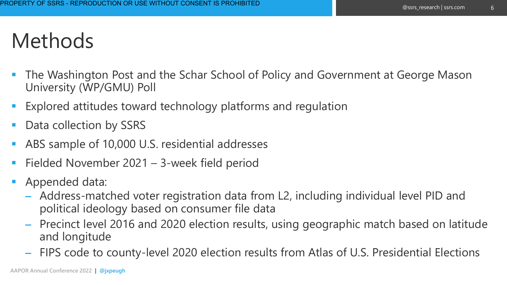## Methods

- The Washington Post and the Schar School of Policy and Government at George Mason University (WP/GMU) Poll
- Explored attitudes toward technology platforms and regulation
- Data collection by SSRS
- ABS sample of 10,000 U.S. residential addresses
- Fielded November  $2021 3$ -week field period
- Appended data:
	- Address-matched voter registration data from L2, including individual level PID and political ideology based on consumer file data
	- Precinct level 2016 and 2020 election results, using geographic match based on latitude and longitude
	- FIPS code to county-level 2020 election results from Atlas of U.S. Presidential Elections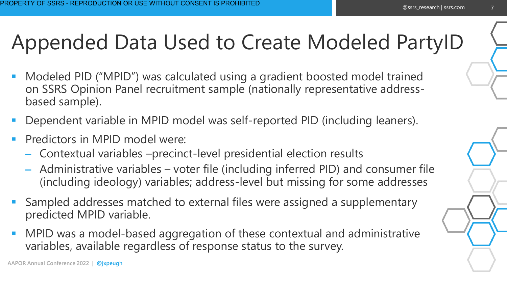## Appended Data Used to Create Modeled PartyID

- Modeled PID ("MPID") was calculated using a gradient boosted model trained on SSRS Opinion Panel recruitment sample (nationally representative addressbased sample).
- Dependent variable in MPID model was self-reported PID (including leaners).
- Predictors in MPID model were:
	- Contextual variables –precinct-level presidential election results
	- Administrative variables voter file (including inferred PID) and consumer file (including ideology) variables; address-level but missing for some addresses
- Sampled addresses matched to external files were assigned a supplementary predicted MPID variable.
- MPID was a model-based aggregation of these contextual and administrative variables, available regardless of response status to the survey.

7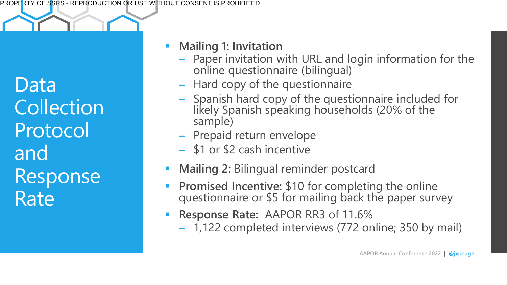Data **Collection** Protocol and Response Rate

#### **Mailing 1: Invitation**

- Paper invitation with URL and login information for the online questionnaire (bilingual)
- Hard copy of the questionnaire
- Spanish hard copy of the questionnaire included for likely Spanish speaking households (20% of the sample)
- Prepaid return envelope
- \$1 or \$2 cash incentive
- **Mailing 2: Bilingual reminder postcard**
- **Promised Incentive: \$10 for completing the online** questionnaire or \$5 for mailing back the paper survey
- **Response Rate: AAPOR RR3 of 11.6%** 
	- 1,122 completed interviews (772 online; 350 by mail)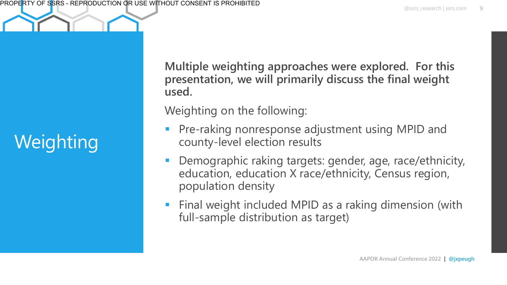# **Weighting**

**Multiple weighting approaches were explored. For this presentation, we will primarily discuss the final weight used.** 

Weighting on the following:

- Pre-raking nonresponse adjustment using MPID and county-level election results
- Demographic raking targets: gender, age, race/ethnicity, education, education X race/ethnicity, Census region, population density
- **EXTERN Final weight included MPID as a raking dimension (with** full-sample distribution as target)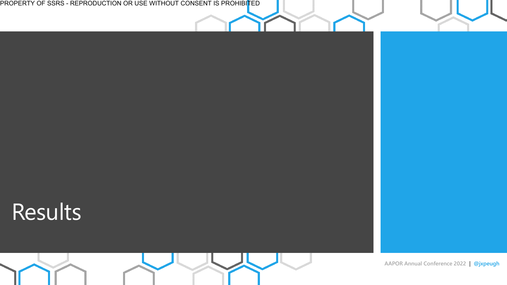PROPERTY OF SSRS - REPRODUCTION OR USE WITHOUT CONSENT IS PROHIBI<mark>T</mark>ED

## Results

**AAPOR Annual Conference 2022 | @jxpeugh**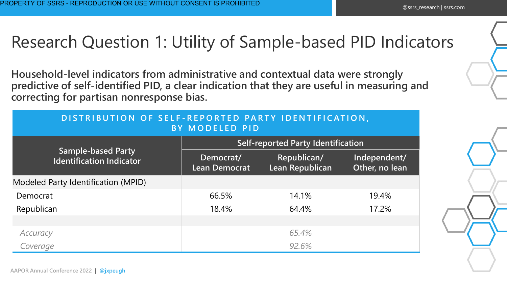#### Research Question 1: Utility of Sample-based PID Indicators

**Household-level indicators from administrative and contextual data were strongly predictive of self-identified PID, a clear indication that they are useful in measuring and correcting for partisan nonresponse bias.**

| DISTRIBUTION OF SELF-REPORTED PARTY IDENTIFICATION,<br><b>BY MODELED PID</b> |                                           |                                |                                |  |  |
|------------------------------------------------------------------------------|-------------------------------------------|--------------------------------|--------------------------------|--|--|
| <b>Sample-based Party</b><br><b>Identification Indicator</b>                 | <b>Self-reported Party Identification</b> |                                |                                |  |  |
|                                                                              | Democrat/<br><b>Lean Democrat</b>         | Republican/<br>Lean Republican | Independent/<br>Other, no lean |  |  |
| Modeled Party Identification (MPID)                                          |                                           |                                |                                |  |  |
| Democrat                                                                     | 66.5%                                     | 14.1%                          | 19.4%                          |  |  |
| Republican                                                                   | 18.4%                                     | 64.4%                          | 17.2%                          |  |  |
|                                                                              |                                           |                                |                                |  |  |
| Accuracy                                                                     |                                           | 65.4%                          |                                |  |  |
| Coverage                                                                     |                                           | 92.6%                          |                                |  |  |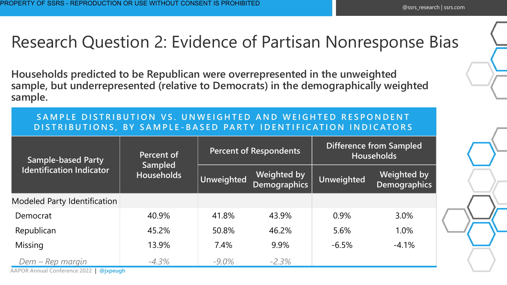#### Research Question 2: Evidence of Partisan Nonresponse Bias

**Households predicted to be Republican were overrepresented in the unweighted sample, but underrepresented (relative to Democrats) in the demographically weighted sample.** 

#### SAMPLE DISTRIBUTION VS. UNWEIGHTED AND WEIGHTED RESPONDENT **D I S T R I B U T I O N S , B Y S A M P L E - B A S E D PA R T Y I D E N T I F I C AT I O N I N D I C AT O R S**

| <b>Sample-based Party</b><br><b>Identification Indicator</b> | Percent of<br><b>Sampled</b><br><b>Households</b> | <b>Percent of Respondents</b> |                                           | <b>Difference from Sampled</b><br><b>Households</b> |                                    |
|--------------------------------------------------------------|---------------------------------------------------|-------------------------------|-------------------------------------------|-----------------------------------------------------|------------------------------------|
|                                                              |                                                   | <b>Unweighted</b>             | <b>Weighted by</b><br><b>Demographics</b> | <b>Unweighted</b>                                   | <b>Weighted by</b><br>Demographics |
| Modeled Party Identification                                 |                                                   |                               |                                           |                                                     |                                    |
| Democrat                                                     | 40.9%                                             | 41.8%                         | 43.9%                                     | 0.9%                                                | 3.0%                               |
| Republican                                                   | 45.2%                                             | 50.8%                         | 46.2%                                     | 5.6%                                                | 1.0%                               |
| Missing                                                      | 13.9%                                             | 7.4%                          | 9.9%                                      | $-6.5%$                                             | $-4.1%$                            |
| Dem – Rep margin                                             | $-4.3%$                                           | $-9.0\%$                      | $-2.3%$                                   |                                                     |                                    |
| <b>AAPOR Annual Conference 2022</b><br>@jxpeugh              |                                                   |                               |                                           |                                                     |                                    |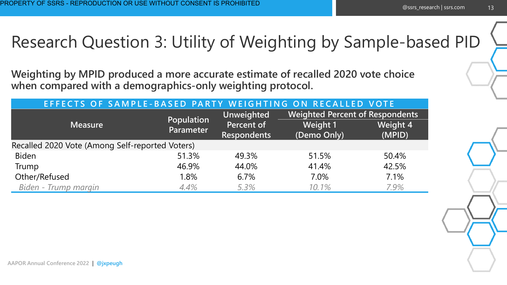#### Research Question 3: Utility of Weighting by Sample-based PID

**Weighting by MPID produced a more accurate estimate of recalled 2020 vote choice when compared with a demographics-only weighting protocol.** 

| EFFECTS OF SAMPLE-BASED PARTY WEIGHTING ON RECALLED VOTE |                         |                    |                                        |                 |  |  |
|----------------------------------------------------------|-------------------------|--------------------|----------------------------------------|-----------------|--|--|
| <b>Measure</b>                                           | Population<br>Parameter | <b>Unweighted</b>  | <b>Weighted Percent of Respondents</b> |                 |  |  |
|                                                          |                         | Percent of         | <b>Weight 1</b>                        | <b>Weight 4</b> |  |  |
|                                                          |                         | <b>Respondents</b> | (Demo Only)                            | (MPID)          |  |  |
| Recalled 2020 Vote (Among Self-reported Voters)          |                         |                    |                                        |                 |  |  |
| <b>Biden</b>                                             | 51.3%                   | 49.3%              | 51.5%                                  | 50.4%           |  |  |
| Trump                                                    | 46.9%                   | 44.0%              | 41.4%                                  | 42.5%           |  |  |
| Other/Refused                                            | 1.8%                    | 6.7%               | 7.0%                                   | 7.1%            |  |  |
| Biden - Trump margin                                     | 4.4%                    | 5.3%               | 10.1%                                  | 7.9%            |  |  |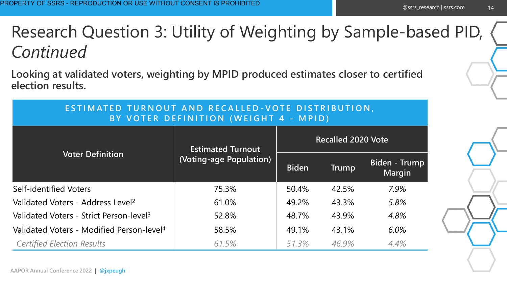#### Research Question 3: Utility of Weighting by Sample-based PID, *Continued*

**Looking at validated voters, weighting by MPID produced estimates closer to certified election results.**

| ESTIMATED TURNOUT AND RECALLED-VOTE DISTRIBUTION,<br>BY VOTER DEFINITION (WEIGHT 4 - MPID) |                                                     |                           |              |                                |  |
|--------------------------------------------------------------------------------------------|-----------------------------------------------------|---------------------------|--------------|--------------------------------|--|
| <b>Voter Definition</b>                                                                    | <b>Estimated Turnout</b><br>(Voting-age Population) | <b>Recalled 2020 Vote</b> |              |                                |  |
|                                                                                            |                                                     | <b>Biden</b>              | <b>Trump</b> | Biden - Trump<br><b>Margin</b> |  |
| Self-identified Voters                                                                     | 75.3%                                               | 50.4%                     | 42.5%        | 7.9%                           |  |
| Validated Voters - Address Level <sup>2</sup>                                              | 61.0%                                               | 49.2%                     | 43.3%        | 5.8%                           |  |
| Validated Voters - Strict Person-level <sup>3</sup>                                        | 52.8%                                               | 48.7%                     | 43.9%        | 4.8%                           |  |
| Validated Voters - Modified Person-level <sup>4</sup>                                      | 58.5%                                               | 49.1%                     | 43.1%        | 6.0%                           |  |
| <b>Certified Election Results</b>                                                          | 61.5%                                               | 51.3%                     | 46.9%        | 4.4%                           |  |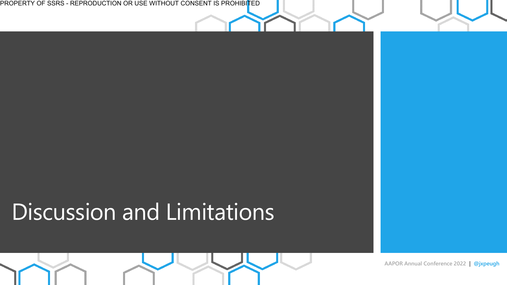PROPERTY OF SSRS - REPRODUCTION OR USE WITHOUT CONSENT IS PROHIBI<mark>T</mark>ED

# Discussion and Limitations

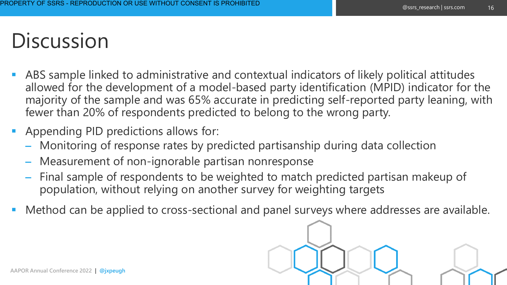## **Discussion**

- ABS sample linked to administrative and contextual indicators of likely political attitudes allowed for the development of a model-based party identification (MPID) indicator for the majority of the sample and was 65% accurate in predicting self-reported party leaning, with fewer than 20% of respondents predicted to belong to the wrong party.
- Appending PID predictions allows for:
	- Monitoring of response rates by predicted partisanship during data collection
	- Measurement of non-ignorable partisan nonresponse
	- Final sample of respondents to be weighted to match predicted partisan makeup of population, without relying on another survey for weighting targets
- Method can be applied to cross-sectional and panel surveys where addresses are available.

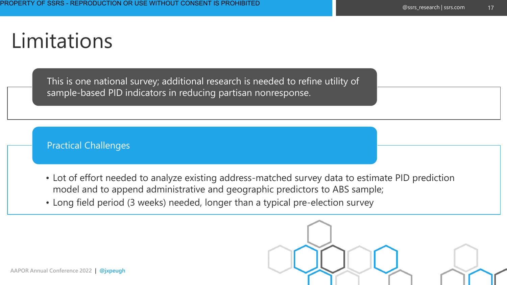## Limitations

This is one national survey; additional research is needed to refine utility of sample-based PID indicators in reducing partisan nonresponse.

Practical Challenges

- Lot of effort needed to analyze existing address-matched survey data to estimate PID prediction model and to append administrative and geographic predictors to ABS sample;
- Long field period (3 weeks) needed, longer than a typical pre-election survey